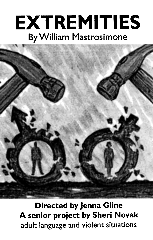## EXTREMITIES By William Mastrosimone



Directed by Jenna Gline A senior project by Sheri Novak adult language and violent situations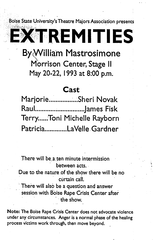Boise State University's Theatre Majors Association presents

**KTREMITIES** 

By William Mastrosimone Morr'ison Center, Stage II May 20-22, 1993 at 8:00 p.m.

## Cast

Marjorie.................Sheri Novak Rau I ............ ~ .................. J a.m es Fisk Terry......Toni Michelle Rayborn Patricia ..............LaVelle Gardner

There will be a ten minute intermission between acts.

Due to the nature of the show there will be no curtain call.

l '

There will also be a question and answer session with Boise Rape Crisis Center after the show.

Note: The Boise Rape Crisis Center does not advocate violence under any circumstances. Anger is a normal phase of the healing process victims work through, then move beyond.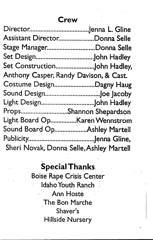| Assistant DirectorDonna Selle            |  |
|------------------------------------------|--|
| Stage ManagerDonna Selle                 |  |
|                                          |  |
| Set ConstructionJohn Hadley,             |  |
| Anthony Casper, Randy Davison, & Cast.   |  |
| Costume DesignDagny Haug                 |  |
|                                          |  |
|                                          |  |
| PropsShannon Shepardson                  |  |
| Light Board OpKaren Wennstrom            |  |
| Sound Board OpAshley Martell             |  |
|                                          |  |
| Sheri Novak, Donna Selle, Ashley Martell |  |

## Special Thanks.

..

Boise Rape Crisis Center Idaho Youth Ranch Ann Hoste The Bon Marche Shaver's Hillside Nursery